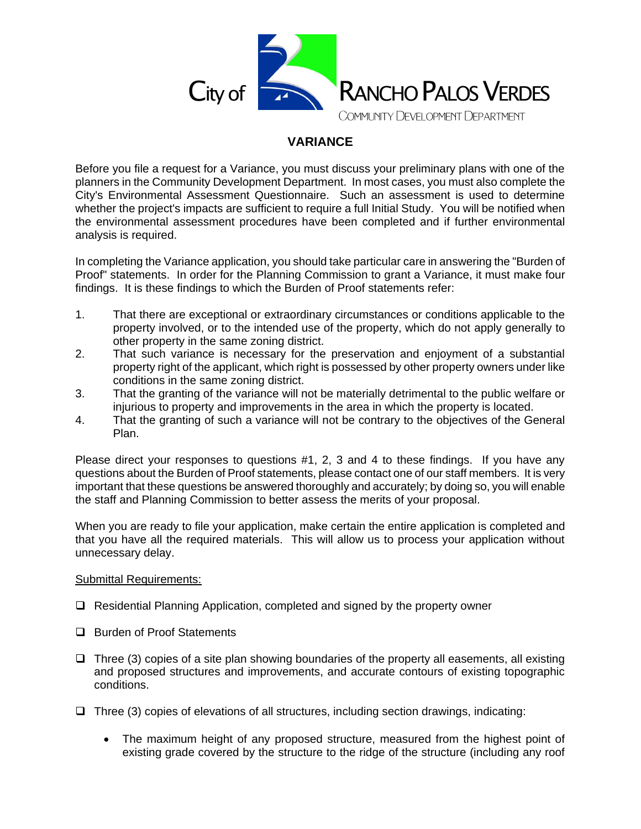

## **VARIANCE**

Before you file a request for a Variance, you must discuss your preliminary plans with one of the planners in the Community Development Department. In most cases, you must also complete the City's Environmental Assessment Questionnaire. Such an assessment is used to determine whether the project's impacts are sufficient to require a full Initial Study. You will be notified when the environmental assessment procedures have been completed and if further environmental analysis is required.

In completing the Variance application, you should take particular care in answering the "Burden of Proof" statements. In order for the Planning Commission to grant a Variance, it must make four findings. It is these findings to which the Burden of Proof statements refer:

- 1. That there are exceptional or extraordinary circumstances or conditions applicable to the property involved, or to the intended use of the property, which do not apply generally to other property in the same zoning district.
- 2. That such variance is necessary for the preservation and enjoyment of a substantial property right of the applicant, which right is possessed by other property owners under like conditions in the same zoning district.
- 3. That the granting of the variance will not be materially detrimental to the public welfare or injurious to property and improvements in the area in which the property is located.
- 4. That the granting of such a variance will not be contrary to the objectives of the General Plan.

Please direct your responses to questions #1, 2, 3 and 4 to these findings. If you have any questions about the Burden of Proof statements, please contact one of our staff members. It is very important that these questions be answered thoroughly and accurately; by doing so, you will enable the staff and Planning Commission to better assess the merits of your proposal.

When you are ready to file your application, make certain the entire application is completed and that you have all the required materials. This will allow us to process your application without unnecessary delay.

## Submittal Requirements:

- ❑ Residential Planning Application, completed and signed by the property owner
- ❑ Burden of Proof Statements
- $\Box$  Three (3) copies of a site plan showing boundaries of the property all easements, all existing and proposed structures and improvements, and accurate contours of existing topographic conditions.
- ❑ Three (3) copies of elevations of all structures, including section drawings, indicating:
	- The maximum height of any proposed structure, measured from the highest point of existing grade covered by the structure to the ridge of the structure (including any roof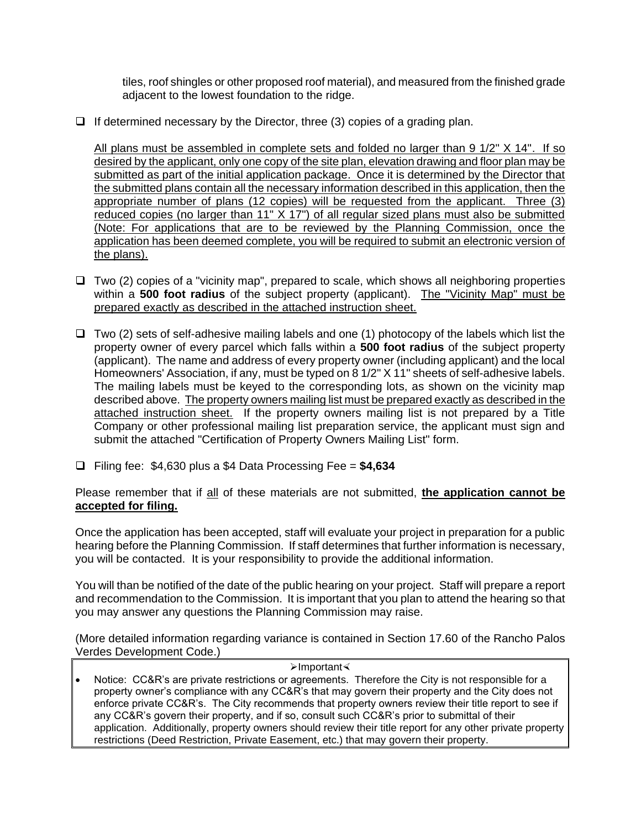tiles, roof shingles or other proposed roof material), and measured from the finished grade adjacent to the lowest foundation to the ridge.

 $\Box$  If determined necessary by the Director, three (3) copies of a grading plan.

All plans must be assembled in complete sets and folded no larger than 9 1/2" X 14". If so desired by the applicant, only one copy of the site plan, elevation drawing and floor plan may be submitted as part of the initial application package. Once it is determined by the Director that the submitted plans contain all the necessary information described in this application, then the appropriate number of plans (12 copies) will be requested from the applicant. Three (3) reduced copies (no larger than 11" X 17") of all regular sized plans must also be submitted (Note: For applications that are to be reviewed by the Planning Commission, once the application has been deemed complete, you will be required to submit an electronic version of the plans).

- ❑ Two (2) copies of a "vicinity map", prepared to scale, which shows all neighboring properties within a **500 foot radius** of the subject property (applicant). The "Vicinity Map" must be prepared exactly as described in the attached instruction sheet.
- ❑ Two (2) sets of self-adhesive mailing labels and one (1) photocopy of the labels which list the property owner of every parcel which falls within a **500 foot radius** of the subject property (applicant). The name and address of every property owner (including applicant) and the local Homeowners' Association, if any, must be typed on 8 1/2" X 11" sheets of self-adhesive labels. The mailing labels must be keyed to the corresponding lots, as shown on the vicinity map described above. The property owners mailing list must be prepared exactly as described in the attached instruction sheet. If the property owners mailing list is not prepared by a Title Company or other professional mailing list preparation service, the applicant must sign and submit the attached "Certification of Property Owners Mailing List" form.
- ❑ Filing fee: \$4,630 plus a \$4 Data Processing Fee = **\$4,634**

Please remember that if all of these materials are not submitted, **the application cannot be accepted for filing.**

Once the application has been accepted, staff will evaluate your project in preparation for a public hearing before the Planning Commission. If staff determines that further information is necessary, you will be contacted. It is your responsibility to provide the additional information.

You will than be notified of the date of the public hearing on your project. Staff will prepare a report and recommendation to the Commission. It is important that you plan to attend the hearing so that you may answer any questions the Planning Commission may raise.

(More detailed information regarding variance is contained in Section 17.60 of the Rancho Palos Verdes Development Code.)

## ➢Important

Notice: CC&R's are private restrictions or agreements. Therefore the City is not responsible for a property owner's compliance with any CC&R's that may govern their property and the City does not enforce private CC&R's. The City recommends that property owners review their title report to see if any CC&R's govern their property, and if so, consult such CC&R's prior to submittal of their application. Additionally, property owners should review their title report for any other private property restrictions (Deed Restriction, Private Easement, etc.) that may govern their property.